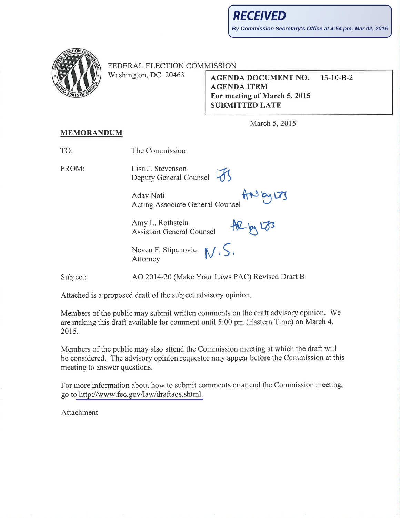

FEDERAL ELECTION COMMISSION

Washington, DC 20463

**AGENDA DOCUMENT NO.**  $15-10-B-2$ **AGENDA ITEM** For meeting of March 5, 2015 **SUBMITTED LATE** 

March 5, 2015

## **MEMORANDUM**

| TO:      | The Commission                                                 |
|----------|----------------------------------------------------------------|
| FROM:    | Lisa J. Stevenson<br>45<br>Deputy General Counsel              |
|          | ANDYLTS<br>Aday Noti<br>Acting Associate General Counsel       |
|          | Amy L. Rothstein<br>$AR_{M}$ $53$<br>Assistant General Counsel |
|          | Neven F. Stipanovic $\mathbb{N}$ . S.<br>Attorney              |
| Subject: | AO 2014-20 (Make Your Laws PAC) Revised Draft B                |

Attached is a proposed draft of the subject advisory opinion.

Members of the public may submit written comments on the draft advisory opinion. We are making this draft available for comment until 5:00 pm (Eastern Time) on March 4, 2015.

Members of the public may also attend the Commission meeting at which the draft will be considered. The advisory opinion requestor may appear before the Commission at this meeting to answer questions.

For more information about how to submit comments or attend the Commission meeting, go to http://www.fec.gov/law/draftaos.shtml.

Attachment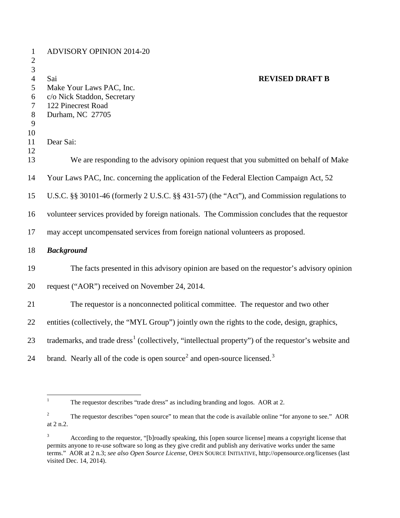| $\mathbf{1}$<br>$\mathbf{2}$ | <b>ADVISORY OPINION 2014-20</b>                                                                                 |
|------------------------------|-----------------------------------------------------------------------------------------------------------------|
| 3<br>$\overline{4}$          | <b>REVISED DRAFT B</b><br>Sai                                                                                   |
| 5                            | Make Your Laws PAC, Inc.                                                                                        |
| 6                            | c/o Nick Staddon, Secretary                                                                                     |
| 7<br>$8\phantom{1}$          | 122 Pinecrest Road<br>Durham, NC 27705                                                                          |
| 9                            |                                                                                                                 |
| 10                           |                                                                                                                 |
| 11                           | Dear Sai:                                                                                                       |
| 12                           |                                                                                                                 |
| 13                           | We are responding to the advisory opinion request that you submitted on behalf of Make                          |
| 14                           | Your Laws PAC, Inc. concerning the application of the Federal Election Campaign Act, 52                         |
| 15                           | U.S.C. §§ 30101-46 (formerly 2 U.S.C. §§ 431-57) (the "Act"), and Commission regulations to                     |
| 16                           | volunteer services provided by foreign nationals. The Commission concludes that the requestor                   |
| 17                           | may accept uncompensated services from foreign national volunteers as proposed.                                 |
| 18                           | <b>Background</b>                                                                                               |
| 19                           | The facts presented in this advisory opinion are based on the requestor's advisory opinion                      |
| 20                           | request ("AOR") received on November 24, 2014.                                                                  |
| 21                           | The requestor is a nonconnected political committee. The requestor and two other                                |
| 22                           | entities (collectively, the "MYL Group") jointly own the rights to the code, design, graphics,                  |
| 23                           | trademarks, and trade dress <sup>1</sup> (collectively, "intellectual property") of the requestor's website and |
| 24                           | brand. Nearly all of the code is open source <sup>2</sup> and open-source licensed. <sup>3</sup>                |

<span id="page-1-0"></span><sup>&</sup>lt;sup>1</sup> The requestor describes "trade dress" as including branding and logos. AOR at 2.

<span id="page-1-1"></span><sup>&</sup>lt;sup>2</sup> The requestor describes "open source" to mean that the code is available online "for anyone to see." AOR at 2 n.2.

<span id="page-1-2"></span> According to the requestor, "[b]roadly speaking, this [open source license] means a copyright license that permits anyone to re-use software so long as they give credit and publish any derivative works under the same terms." AOR at 2 n.3; *see also Open Source License*, OPEN SOURCE INITIATIVE, http://opensource.org/licenses (last visited Dec. 14, 2014).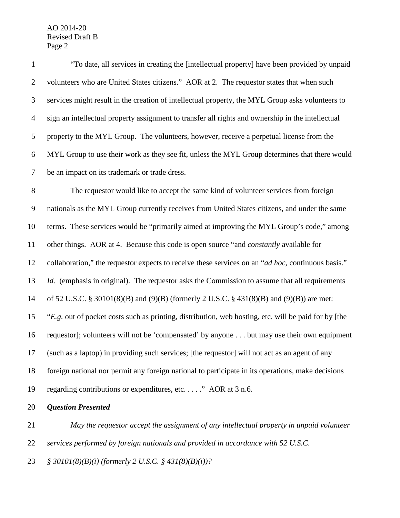| $\mathbf{1}$   | "To date, all services in creating the [intellectual property] have been provided by unpaid          |
|----------------|------------------------------------------------------------------------------------------------------|
| $\overline{2}$ | volunteers who are United States citizens." AOR at 2. The requestor states that when such            |
| 3              | services might result in the creation of intellectual property, the MYL Group asks volunteers to     |
| $\overline{4}$ | sign an intellectual property assignment to transfer all rights and ownership in the intellectual    |
| 5              | property to the MYL Group. The volunteers, however, receive a perpetual license from the             |
| 6              | MYL Group to use their work as they see fit, unless the MYL Group determines that there would        |
| $\overline{7}$ | be an impact on its trademark or trade dress.                                                        |
| $8\,$          | The requestor would like to accept the same kind of volunteer services from foreign                  |
| $\overline{9}$ | nationals as the MYL Group currently receives from United States citizens, and under the same        |
| 10             | terms. These services would be "primarily aimed at improving the MYL Group's code," among            |
| 11             | other things. AOR at 4. Because this code is open source "and <i>constantly</i> available for        |
| 12             | collaboration," the requestor expects to receive these services on an "ad hoc, continuous basis."    |
| 13             | Id. (emphasis in original). The requestor asks the Commission to assume that all requirements        |
| 14             | of 52 U.S.C. § 30101(8)(B) and (9)(B) (formerly 2 U.S.C. § 431(8)(B) and (9)(B)) are met:            |
| 15             | "E.g. out of pocket costs such as printing, distribution, web hosting, etc. will be paid for by [the |
| 16             | requestor]; volunteers will not be 'compensated' by anyone but may use their own equipment           |
| 17             | (such as a laptop) in providing such services; [the requestor] will not act as an agent of any       |
| 18             | foreign national nor permit any foreign national to participate in its operations, make decisions    |
| 19             | regarding contributions or expenditures, etc" AOR at 3 n.6.                                          |
| 20             | <b>Question Presented</b>                                                                            |
|                |                                                                                                      |

 *May the requestor accept the assignment of any intellectual property in unpaid volunteer services performed by foreign nationals and provided in accordance with 52 U.S.C. § 30101(8)(B)(i) (formerly 2 U.S.C. § 431(8)(B)(i))?*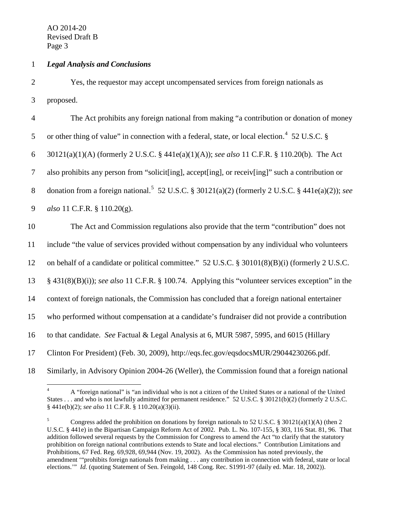## 1 *Legal Analysis and Conclusions*

2 Yes, the requestor may accept uncompensated services from foreign nationals as 3 proposed.

| $\overline{4}$ | The Act prohibits any foreign national from making "a contribution or donation of money                      |
|----------------|--------------------------------------------------------------------------------------------------------------|
| 5              | or other thing of value" in connection with a federal, state, or local election. <sup>4</sup> 52 U.S.C. §    |
| 6              | 30121(a)(1)(A) (formerly 2 U.S.C. § 441e(a)(1)(A)); see also 11 C.F.R. § 110.20(b). The Act                  |
| $\tau$         | also prohibits any person from "solicit[ing], accept[ing], or receiv[ing]" such a contribution or            |
| 8              | donation from a foreign national. <sup>5</sup> 52 U.S.C. § 30121(a)(2) (formerly 2 U.S.C. § 441e(a)(2)); see |
| 9              | also 11 C.F.R. § 110.20(g).                                                                                  |
| 10             | The Act and Commission regulations also provide that the term "contribution" does not                        |
| 11             | include "the value of services provided without compensation by any individual who volunteers                |
| 12             | on behalf of a candidate or political committee." 52 U.S.C. § 30101(8)(B)(i) (formerly 2 U.S.C.              |
| 13             | § 431(8)(B)(i)); see also 11 C.F.R. § 100.74. Applying this "volunteer services exception" in the            |
| 14             | context of foreign nationals, the Commission has concluded that a foreign national entertainer               |
| 15             | who performed without compensation at a candidate's fundraiser did not provide a contribution                |
| 16             | to that candidate. See Factual & Legal Analysis at 6, MUR 5987, 5995, and 6015 (Hillary                      |
| 17             | Clinton For President) (Feb. 30, 2009), http://eqs.fec.gov/eqsdocsMUR/29044230266.pdf.                       |
| 18             | Similarly, in Advisory Opinion 2004-26 (Weller), the Commission found that a foreign national                |

<span id="page-3-0"></span><sup>&</sup>lt;sup>4</sup> A "foreign national" is "an individual who is not a citizen of the United States or a national of the United States . . . and who is not lawfully admitted for permanent residence." 52 U.S.C. § 30121(b)(2) (formerly 2 U.S.C. § 441e(b)(2); *see also* 11 C.F.R. § 110.20(a)(3)(ii).

<span id="page-3-1"></span><sup>&</sup>lt;sup>5</sup> Congress added the prohibition on donations by foreign nationals to 52 U.S.C. § 30121(a)(1)(A) (then 2 U.S.C. § 441e) in the Bipartisan Campaign Reform Act of 2002. Pub. L. No. 107-155, § 303, 116 Stat. 81, 96. That addition followed several requests by the Commission for Congress to amend the Act "to clarify that the statutory prohibition on foreign national contributions extends to State and local elections." Contribution Limitations and Prohibitions, 67 Fed. Reg. 69,928, 69,944 (Nov. 19, 2002). As the Commission has noted previously, the amendment '"prohibits foreign nationals from making . . . any contribution in connection with federal, state or local elections." *Id.* (quoting Statement of Sen. Feingold, 148 Cong. Rec. S1991-97 (daily ed. Mar. 18, 2002)).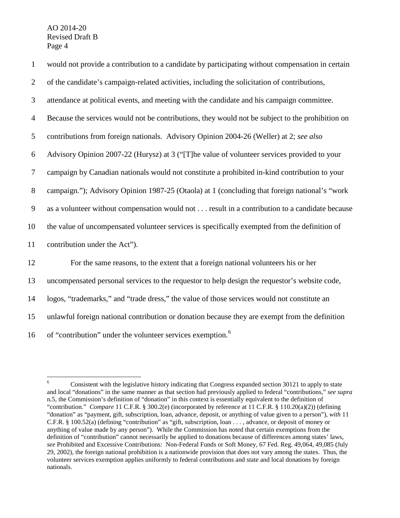| $\mathbf{1}$   | would not provide a contribution to a candidate by participating without compensation in certain |
|----------------|--------------------------------------------------------------------------------------------------|
| $\overline{2}$ | of the candidate's campaign-related activities, including the solicitation of contributions,     |
| 3              | attendance at political events, and meeting with the candidate and his campaign committee.       |
| $\overline{4}$ | Because the services would not be contributions, they would not be subject to the prohibition on |
| 5              | contributions from foreign nationals. Advisory Opinion 2004-26 (Weller) at 2; see also           |
| 6              | Advisory Opinion 2007-22 (Hurysz) at 3 ("[T]he value of volunteer services provided to your      |
| 7              | campaign by Canadian nationals would not constitute a prohibited in-kind contribution to your    |
| $8\,$          | campaign."); Advisory Opinion 1987-25 (Otaola) at 1 (concluding that foreign national's "work    |
| 9              | as a volunteer without compensation would not result in a contribution to a candidate because    |
| 10             | the value of uncompensated volunteer services is specifically exempted from the definition of    |
| 11             | contribution under the Act").                                                                    |
| 12             | For the same reasons, to the extent that a foreign national volunteers his or her                |
| 13             | uncompensated personal services to the requestor to help design the requestor's website code,    |
| 14             | logos, "trademarks," and "trade dress," the value of those services would not constitute an      |
| 15             | unlawful foreign national contribution or donation because they are exempt from the definition   |
| 16             | of "contribution" under the volunteer services exemption. <sup>6</sup>                           |

<span id="page-4-0"></span><sup>&</sup>lt;sup>6</sup> Consistent with the legislative history indicating that Congress expanded section 30121 to apply to state and local "donations" in the same manner as that section had previously applied to federal "contributions," *see supra* n.5, the Commission's definition of "donation" in this context is essentially equivalent to the definition of "contribution." *Compare* 11 C.F.R. § 300.2(e) (incorporated by reference at 11 C.F.R. § 110.20(a)(2)) (defining "donation" as "payment, gift, subscription, loan, advance, deposit, or anything of value given to a person"), *with* 11 C.F.R. § 100.52(a) (defining "contribution" as "gift, subscription, loan . . . , advance, or deposit of money or anything of value made by any person"). While the Commission has noted that certain exemptions from the definition of "contribution" cannot necessarily be applied to donations because of differences among states' laws, *see* Prohibited and Excessive Contributions: Non-Federal Funds or Soft Money, 67 Fed. Reg. 49,064, 49,085 (July 29, 2002), the foreign national prohibition is a nationwide provision that does not vary among the states. Thus, the volunteer services exemption applies uniformly to federal contributions and state and local donations by foreign nationals.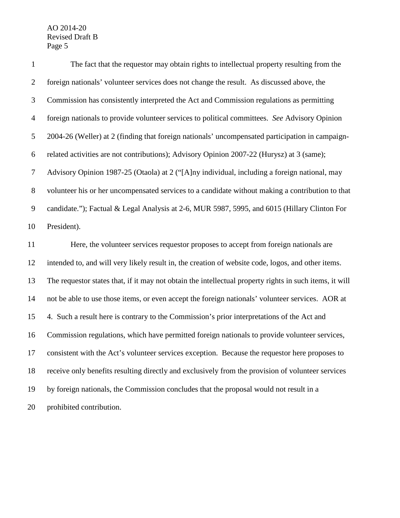| $\mathbf{1}$                     | The fact that the requestor may obtain rights to intellectual property resulting from the               |
|----------------------------------|---------------------------------------------------------------------------------------------------------|
| $\overline{2}$                   | foreign nationals' volunteer services does not change the result. As discussed above, the               |
| 3                                | Commission has consistently interpreted the Act and Commission regulations as permitting                |
| $\overline{4}$                   | foreign nationals to provide volunteer services to political committees. See Advisory Opinion           |
| 5                                | 2004-26 (Weller) at 2 (finding that foreign nationals' uncompensated participation in campaign-         |
| 6                                | related activities are not contributions); Advisory Opinion 2007-22 (Hurysz) at 3 (same);               |
| $\tau$                           | Advisory Opinion 1987-25 (Otaola) at 2 ("[A]ny individual, including a foreign national, may            |
| $8\phantom{1}$                   | volunteer his or her uncompensated services to a candidate without making a contribution to that        |
| $\boldsymbol{9}$                 | candidate."); Factual & Legal Analysis at 2-6, MUR 5987, 5995, and 6015 (Hillary Clinton For            |
| 10                               | President).                                                                                             |
|                                  |                                                                                                         |
|                                  | Here, the volunteer services requestor proposes to accept from foreign nationals are                    |
|                                  | intended to, and will very likely result in, the creation of website code, logos, and other items.      |
|                                  | The requestor states that, if it may not obtain the intellectual property rights in such items, it will |
|                                  | not be able to use those items, or even accept the foreign nationals' volunteer services. AOR at        |
|                                  | 4. Such a result here is contrary to the Commission's prior interpretations of the Act and              |
| 11<br>12<br>13<br>14<br>15<br>16 | Commission regulations, which have permitted foreign nationals to provide volunteer services,           |
| 17                               | consistent with the Act's volunteer services exception. Because the requestor here proposes to          |
| 18                               | receive only benefits resulting directly and exclusively from the provision of volunteer services       |
| 19                               | by foreign nationals, the Commission concludes that the proposal would not result in a                  |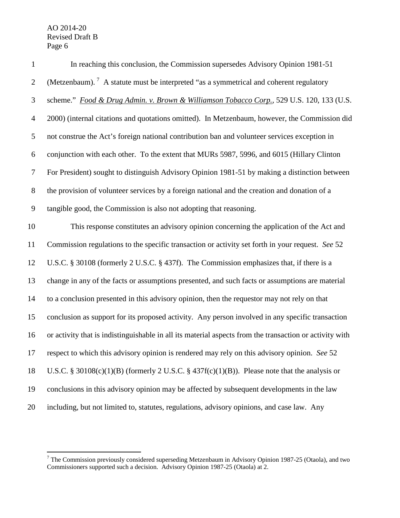| $\mathbf{1}$   | In reaching this conclusion, the Commission supersedes Advisory Opinion 1981-51                         |
|----------------|---------------------------------------------------------------------------------------------------------|
| $\overline{2}$ | (Metzenbaum). <sup>7</sup> A statute must be interpreted "as a symmetrical and coherent regulatory      |
| 3              | scheme." Food & Drug Admin. v. Brown & Williamson Tobacco Corp., 529 U.S. 120, 133 (U.S.                |
| $\overline{4}$ | 2000) (internal citations and quotations omitted). In Metzenbaum, however, the Commission did           |
| 5              | not construe the Act's foreign national contribution ban and volunteer services exception in            |
| 6              | conjunction with each other. To the extent that MURs 5987, 5996, and 6015 (Hillary Clinton              |
| 7              | For President) sought to distinguish Advisory Opinion 1981-51 by making a distinction between           |
| $8\,$          | the provision of volunteer services by a foreign national and the creation and donation of a            |
| 9              | tangible good, the Commission is also not adopting that reasoning.                                      |
| 10             | This response constitutes an advisory opinion concerning the application of the Act and                 |
| 11             | Commission regulations to the specific transaction or activity set forth in your request. See 52        |
| 12             | U.S.C. § 30108 (formerly 2 U.S.C. § 437f). The Commission emphasizes that, if there is a                |
| 13             | change in any of the facts or assumptions presented, and such facts or assumptions are material         |
| 14             | to a conclusion presented in this advisory opinion, then the requestor may not rely on that             |
| 15             | conclusion as support for its proposed activity. Any person involved in any specific transaction        |
| 16             | or activity that is indistinguishable in all its material aspects from the transaction or activity with |
| 17             | respect to which this advisory opinion is rendered may rely on this advisory opinion. See 52            |
| 18             | U.S.C. § 30108(c)(1)(B) (formerly 2 U.S.C. § 437f(c)(1)(B)). Please note that the analysis or           |
| 19             | conclusions in this advisory opinion may be affected by subsequent developments in the law              |
| 20             | including, but not limited to, statutes, regulations, advisory opinions, and case law. Any              |

<span id="page-6-0"></span> The Commission previously considered superseding Metzenbaum in Advisory Opinion 1987-25 (Otaola), and two Commissioners supported such a decision. Advisory Opinion 1987-25 (Otaola) at 2.